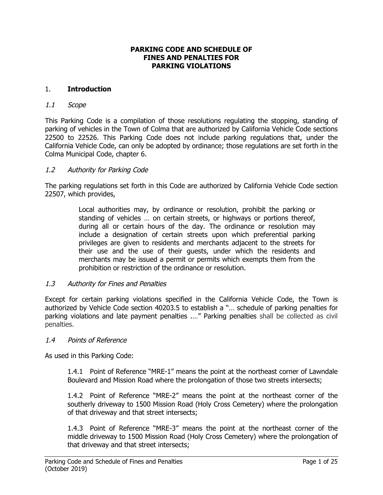#### **PARKING CODE AND SCHEDULE OF FINES AND PENALTIES FOR PARKING VIOLATIONS**

#### 1. **Introduction**

#### 1.1 Scope

This Parking Code is a compilation of those resolutions regulating the stopping, standing of parking of vehicles in the Town of Colma that are authorized by California Vehicle Code sections 22500 to 22526. This Parking Code does not include parking regulations that, under the California Vehicle Code, can only be adopted by ordinance; those regulations are set forth in the Colma Municipal Code, chapter 6.

#### 1.2 Authority for Parking Code

The parking regulations set forth in this Code are authorized by California Vehicle Code section 22507, which provides,

> Local authorities may, by ordinance or resolution, prohibit the parking or standing of vehicles … on certain streets, or highways or portions thereof, during all or certain hours of the day. The ordinance or resolution may include a designation of certain streets upon which preferential parking privileges are given to residents and merchants adjacent to the streets for their use and the use of their guests, under which the residents and merchants may be issued a permit or permits which exempts them from the prohibition or restriction of the ordinance or resolution.

#### 1.3 Authority for Fines and Penalties

Except for certain parking violations specified in the California Vehicle Code, the Town is authorized by Vehicle Code section 40203.5 to establish a "… schedule of parking penalties for parking violations and late payment penalties .…" Parking penalties shall be collected as civil penalties.

#### 1.4 Points of Reference

As used in this Parking Code:

1.4.1 Point of Reference "MRE-1" means the point at the northeast corner of Lawndale Boulevard and Mission Road where the prolongation of those two streets intersects;

1.4.2 Point of Reference "MRE-2" means the point at the northeast corner of the southerly driveway to 1500 Mission Road (Holy Cross Cemetery) where the prolongation of that driveway and that street intersects;

1.4.3 Point of Reference "MRE-3" means the point at the northeast corner of the middle driveway to 1500 Mission Road (Holy Cross Cemetery) where the prolongation of that driveway and that street intersects;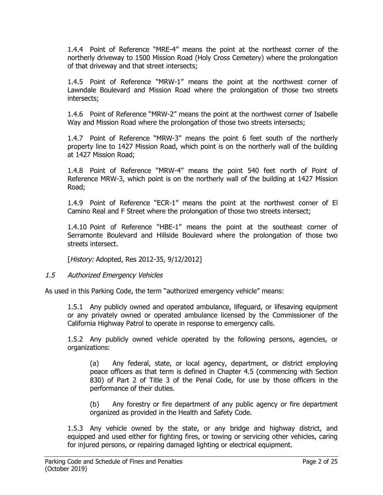1.4.4 Point of Reference "MRE-4" means the point at the northeast corner of the northerly driveway to 1500 Mission Road (Holy Cross Cemetery) where the prolongation of that driveway and that street intersects;

1.4.5 Point of Reference "MRW-1" means the point at the northwest corner of Lawndale Boulevard and Mission Road where the prolongation of those two streets intersects;

1.4.6 Point of Reference "MRW-2" means the point at the northwest corner of Isabelle Way and Mission Road where the prolongation of those two streets intersects;

1.4.7 Point of Reference "MRW-3" means the point 6 feet south of the northerly property line to 1427 Mission Road, which point is on the northerly wall of the building at 1427 Mission Road;

1.4.8 Point of Reference "MRW-4" means the point 540 feet north of Point of Reference MRW-3, which point is on the northerly wall of the building at 1427 Mission Road;

1.4.9 Point of Reference "ECR-1" means the point at the northwest corner of El Camino Real and F Street where the prolongation of those two streets intersect;

1.4.10 Point of Reference "HBE-1" means the point at the southeast corner of Serramonte Boulevard and Hillside Boulevard where the prolongation of those two streets intersect.

[History: Adopted, Res 2012-35, 9/12/2012]

# 1.5 Authorized Emergency Vehicles

As used in this Parking Code, the term "authorized emergency vehicle" means:

1.5.1 Any publicly owned and operated ambulance, lifeguard, or lifesaving equipment or any privately owned or operated ambulance licensed by the Commissioner of the California Highway Patrol to operate in response to emergency calls.

1.5.2 Any publicly owned vehicle operated by the following persons, agencies, or organizations:

(a) Any federal, state, or local agency, department, or district employing peace officers as that term is defined in Chapter 4.5 (commencing with Section 830) of Part 2 of Title 3 of the Penal Code, for use by those officers in the performance of their duties.

(b) Any forestry or fire department of any public agency or fire department organized as provided in the Health and Safety Code.

1.5.3 Any vehicle owned by the state, or any bridge and highway district, and equipped and used either for fighting fires, or towing or servicing other vehicles, caring for injured persons, or repairing damaged lighting or electrical equipment.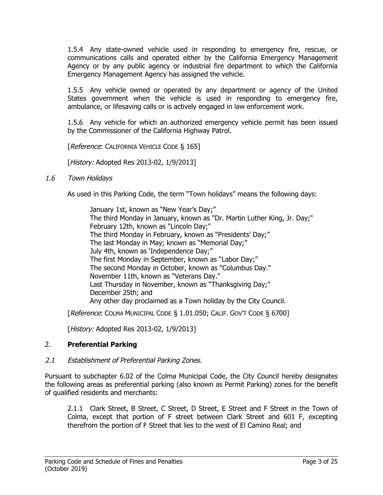1.5.4 Any state-owned vehicle used in responding to emergency fire, rescue, or communications calls and operated either by the California Emergency Management Agency or by any public agency or industrial fire department to which the California Emergency Management Agency has assigned the vehicle.

1.5.5 Any vehicle owned or operated by any department or agency of the United States government when the vehicle is used in responding to emergency fire, ambulance, or lifesaving calls or is actively engaged in law enforcement work.

1.5.6 Any vehicle for which an authorized emergency vehicle permit has been issued by the Commissioner of the California Highway Patrol.

**[Reference: CALIFORNIA VEHICLE CODE § 165]** 

[History: Adopted Res 2013-02, 1/9/2013]

1.6 Town Holidays

As used in this Parking Code, the term "Town holidays" means the following days:

January 1st, known as "New Year's Day;" The third Monday in January, known as "Dr. Martin Luther King, Jr. Day;" February 12th, known as "Lincoln Day;" The third Monday in February, known as "Presidents' Day;" The last Monday in May; known as "Memorial Day;" July 4th, known as 'Independence Day;" The first Monday in September, known as "Labor Day;" The second Monday in October, known as "Columbus Day." November 11th, known as "Veterans Day." Last Thursday in November, known as "Thanksgiving Day;" December 25th; and Any other day proclaimed as a Town holiday by the City Council.

[Reference: COLMA MUNICIPAL CODE § 1.01.050; CALIF. GOV'T CODE § 6700]

[History: Adopted Res 2013-02, 1/9/2013]

## 2. **Preferential Parking**

#### 2.1 Establishment of Preferential Parking Zones.

Pursuant to subchapter 6.02 of the Colma Municipal Code, the City Council hereby designates the following areas as preferential parking (also known as Permit Parking) zones for the benefit of qualified residents and merchants:

2.1.1 Clark Street, B Street, C Street, D Street, E Street and F Street in the Town of Colma, except that portion of F street between Clark Street and 601 F, excepting therefrom the portion of F Street that lies to the west of El Camino Real; and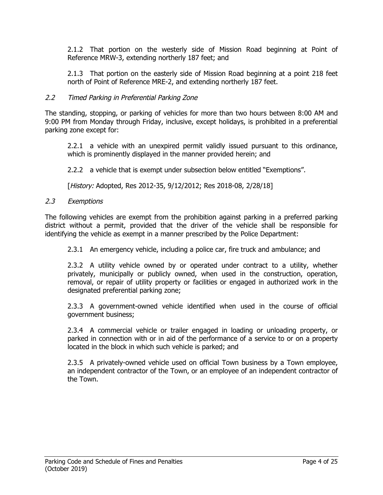2.1.2 That portion on the westerly side of Mission Road beginning at Point of Reference MRW-3, extending northerly 187 feet; and

2.1.3 That portion on the easterly side of Mission Road beginning at a point 218 feet north of Point of Reference MRE-2, and extending northerly 187 feet.

### 2.2 Timed Parking in Preferential Parking Zone

The standing, stopping, or parking of vehicles for more than two hours between 8:00 AM and 9:00 PM from Monday through Friday, inclusive, except holidays, is prohibited in a preferential parking zone except for:

2.2.1 a vehicle with an unexpired permit validly issued pursuant to this ordinance, which is prominently displayed in the manner provided herein; and

2.2.2 a vehicle that is exempt under subsection below entitled "Exemptions".

[History: Adopted, Res 2012-35, 9/12/2012; Res 2018-08, 2/28/18]

#### 2.3 Exemptions

The following vehicles are exempt from the prohibition against parking in a preferred parking district without a permit, provided that the driver of the vehicle shall be responsible for identifying the vehicle as exempt in a manner prescribed by the Police Department:

2.3.1 An emergency vehicle, including a police car, fire truck and ambulance; and

2.3.2 A utility vehicle owned by or operated under contract to a utility, whether privately, municipally or publicly owned, when used in the construction, operation, removal, or repair of utility property or facilities or engaged in authorized work in the designated preferential parking zone;

2.3.3 A government-owned vehicle identified when used in the course of official government business;

2.3.4 A commercial vehicle or trailer engaged in loading or unloading property, or parked in connection with or in aid of the performance of a service to or on a property located in the block in which such vehicle is parked; and

2.3.5 A privately-owned vehicle used on official Town business by a Town employee, an independent contractor of the Town, or an employee of an independent contractor of the Town.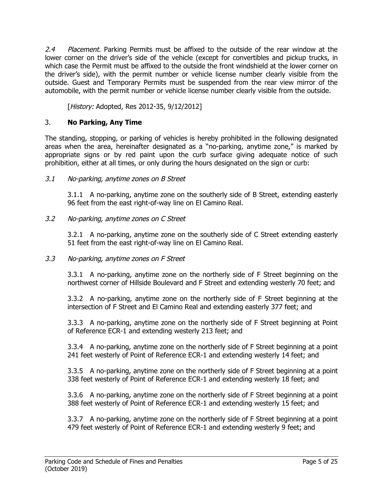2.4 Placement. Parking Permits must be affixed to the outside of the rear window at the lower corner on the driver's side of the vehicle (except for convertibles and pickup trucks, in which case the Permit must be affixed to the outside the front windshield at the lower corner on the driver's side), with the permit number or vehicle license number clearly visible from the outside. Guest and Temporary Permits must be suspended from the rear view mirror of the automobile, with the permit number or vehicle license number clearly visible from the outside.

[History: Adopted, Res 2012-35, 9/12/2012]

# 3. **No Parking, Any Time**

The standing, stopping, or parking of vehicles is hereby prohibited in the following designated areas when the area, hereinafter designated as a "no-parking, anytime zone," is marked by appropriate signs or by red paint upon the curb surface giving adequate notice of such prohibition, either at all times, or only during the hours designated on the sign or curb:

## 3.1 No-parking, anytime zones on B Street

3.1.1 A no-parking, anytime zone on the southerly side of B Street, extending easterly 96 feet from the east right-of-way line on El Camino Real.

## 3.2 No-parking, anytime zones on C Street

3.2.1 A no-parking, anytime zone on the southerly side of C Street extending easterly 51 feet from the east right-of-way line on El Camino Real.

#### 3.3 No-parking, anytime zones on F Street

3.3.1 A no-parking, anytime zone on the northerly side of F Street beginning on the northwest corner of Hillside Boulevard and F Street and extending westerly 70 feet; and

3.3.2 A no-parking, anytime zone on the northerly side of F Street beginning at the intersection of F Street and El Camino Real and extending easterly 377 feet; and

3.3.3 A no-parking, anytime zone on the northerly side of F Street beginning at Point of Reference ECR-1 and extending westerly 213 feet; and

3.3.4 A no-parking, anytime zone on the northerly side of F Street beginning at a point 241 feet westerly of Point of Reference ECR-1 and extending westerly 14 feet; and

3.3.5 A no-parking, anytime zone on the northerly side of F Street beginning at a point 338 feet westerly of Point of Reference ECR-1 and extending westerly 18 feet; and

3.3.6 A no-parking, anytime zone on the northerly side of F Street beginning at a point 388 feet westerly of Point of Reference ECR-1 and extending westerly 15 feet; and

3.3.7 A no-parking, anytime zone on the northerly side of F Street beginning at a point 479 feet westerly of Point of Reference ECR-1 and extending westerly 9 feet; and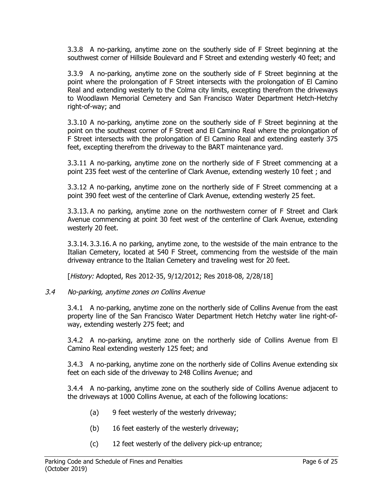3.3.8 A no-parking, anytime zone on the southerly side of F Street beginning at the southwest corner of Hillside Boulevard and F Street and extending westerly 40 feet; and

3.3.9 A no-parking, anytime zone on the southerly side of F Street beginning at the point where the prolongation of F Street intersects with the prolongation of El Camino Real and extending westerly to the Colma city limits, excepting therefrom the driveways to Woodlawn Memorial Cemetery and San Francisco Water Department Hetch-Hetchy right-of-way; and

3.3.10 A no-parking, anytime zone on the southerly side of F Street beginning at the point on the southeast corner of F Street and El Camino Real where the prolongation of F Street intersects with the prolongation of El Camino Real and extending easterly 375 feet, excepting therefrom the driveway to the BART maintenance yard.

3.3.11 A no-parking, anytime zone on the northerly side of F Street commencing at a point 235 feet west of the centerline of Clark Avenue, extending westerly 10 feet ; and

3.3.12 A no-parking, anytime zone on the northerly side of F Street commencing at a point 390 feet west of the centerline of Clark Avenue, extending westerly 25 feet.

3.3.13. A no parking, anytime zone on the northwestern corner of F Street and Clark Avenue commencing at point 30 feet west of the centerline of Clark Avenue, extending westerly 20 feet.

3.3.14. 3.3.16. A no parking, anytime zone, to the westside of the main entrance to the Italian Cemetery, located at 540 F Street, commencing from the westside of the main driveway entrance to the Italian Cemetery and traveling west for 20 feet.

[History: Adopted, Res 2012-35, 9/12/2012; Res 2018-08, 2/28/18]

#### 3.4 No-parking, anytime zones on Collins Avenue

3.4.1 A no-parking, anytime zone on the northerly side of Collins Avenue from the east property line of the San Francisco Water Department Hetch Hetchy water line right-ofway, extending westerly 275 feet; and

3.4.2 A no-parking, anytime zone on the northerly side of Collins Avenue from El Camino Real extending westerly 125 feet; and

3.4.3 A no-parking, anytime zone on the northerly side of Collins Avenue extending six feet on each side of the driveway to 248 Collins Avenue; and

3.4.4 A no-parking, anytime zone on the southerly side of Collins Avenue adjacent to the driveways at 1000 Collins Avenue, at each of the following locations:

- (a) 9 feet westerly of the westerly driveway;
- (b) 16 feet easterly of the westerly driveway;
- (c) 12 feet westerly of the delivery pick-up entrance;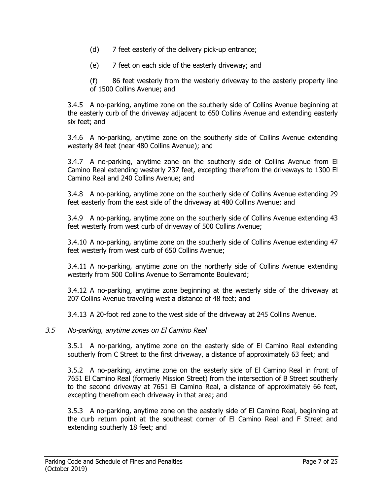- (d) 7 feet easterly of the delivery pick-up entrance;
- (e) 7 feet on each side of the easterly driveway; and

(f) 86 feet westerly from the westerly driveway to the easterly property line of 1500 Collins Avenue; and

3.4.5 A no-parking, anytime zone on the southerly side of Collins Avenue beginning at the easterly curb of the driveway adjacent to 650 Collins Avenue and extending easterly six feet; and

3.4.6 A no-parking, anytime zone on the southerly side of Collins Avenue extending westerly 84 feet (near 480 Collins Avenue); and

3.4.7 A no-parking, anytime zone on the southerly side of Collins Avenue from El Camino Real extending westerly 237 feet, excepting therefrom the driveways to 1300 El Camino Real and 240 Collins Avenue; and

3.4.8 A no-parking, anytime zone on the southerly side of Collins Avenue extending 29 feet easterly from the east side of the driveway at 480 Collins Avenue; and

3.4.9 A no-parking, anytime zone on the southerly side of Collins Avenue extending 43 feet westerly from west curb of driveway of 500 Collins Avenue;

3.4.10 A no-parking, anytime zone on the southerly side of Collins Avenue extending 47 feet westerly from west curb of 650 Collins Avenue;

3.4.11 A no-parking, anytime zone on the northerly side of Collins Avenue extending westerly from 500 Collins Avenue to Serramonte Boulevard;

3.4.12 A no-parking, anytime zone beginning at the westerly side of the driveway at 207 Collins Avenue traveling west a distance of 48 feet; and

3.4.13 A 20-foot red zone to the west side of the driveway at 245 Collins Avenue.

#### 3.5 No-parking, anytime zones on El Camino Real

3.5.1 A no-parking, anytime zone on the easterly side of El Camino Real extending southerly from C Street to the first driveway, a distance of approximately 63 feet; and

3.5.2 A no-parking, anytime zone on the easterly side of El Camino Real in front of 7651 El Camino Real (formerly Mission Street) from the intersection of B Street southerly to the second driveway at 7651 El Camino Real, a distance of approximately 66 feet, excepting therefrom each driveway in that area; and

3.5.3 A no-parking, anytime zone on the easterly side of El Camino Real, beginning at the curb return point at the southeast corner of El Camino Real and F Street and extending southerly 18 feet; and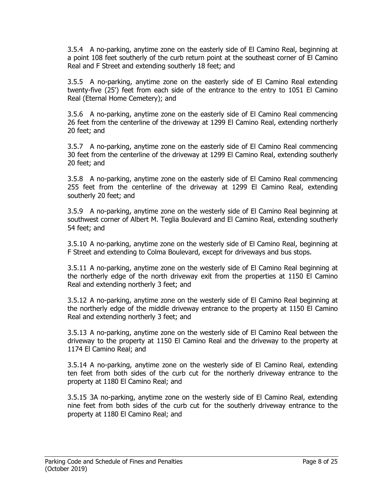3.5.4 A no-parking, anytime zone on the easterly side of El Camino Real, beginning at a point 108 feet southerly of the curb return point at the southeast corner of El Camino Real and F Street and extending southerly 18 feet; and

3.5.5 A no-parking, anytime zone on the easterly side of El Camino Real extending twenty-five (25') feet from each side of the entrance to the entry to 1051 El Camino Real (Eternal Home Cemetery); and

3.5.6 A no-parking, anytime zone on the easterly side of El Camino Real commencing 26 feet from the centerline of the driveway at 1299 El Camino Real, extending northerly 20 feet; and

3.5.7 A no-parking, anytime zone on the easterly side of El Camino Real commencing 30 feet from the centerline of the driveway at 1299 El Camino Real, extending southerly 20 feet; and

3.5.8 A no-parking, anytime zone on the easterly side of El Camino Real commencing 255 feet from the centerline of the driveway at 1299 El Camino Real, extending southerly 20 feet; and

3.5.9 A no-parking, anytime zone on the westerly side of El Camino Real beginning at southwest corner of Albert M. Teglia Boulevard and El Camino Real, extending southerly 54 feet; and

3.5.10 A no-parking, anytime zone on the westerly side of El Camino Real, beginning at F Street and extending to Colma Boulevard, except for driveways and bus stops.

3.5.11 A no-parking, anytime zone on the westerly side of El Camino Real beginning at the northerly edge of the north driveway exit from the properties at 1150 El Camino Real and extending northerly 3 feet; and

3.5.12 A no-parking, anytime zone on the westerly side of El Camino Real beginning at the northerly edge of the middle driveway entrance to the property at 1150 El Camino Real and extending northerly 3 feet; and

3.5.13 A no-parking, anytime zone on the westerly side of El Camino Real between the driveway to the property at 1150 El Camino Real and the driveway to the property at 1174 El Camino Real; and

3.5.14 A no-parking, anytime zone on the westerly side of El Camino Real, extending ten feet from both sides of the curb cut for the northerly driveway entrance to the property at 1180 El Camino Real; and

3.5.15 3A no-parking, anytime zone on the westerly side of El Camino Real, extending nine feet from both sides of the curb cut for the southerly driveway entrance to the property at 1180 El Camino Real; and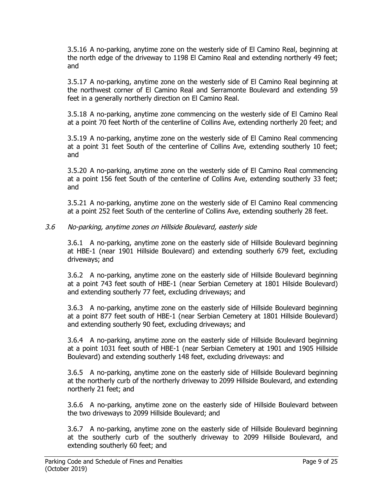3.5.16 A no-parking, anytime zone on the westerly side of El Camino Real, beginning at the north edge of the driveway to 1198 El Camino Real and extending northerly 49 feet; and

3.5.17 A no-parking, anytime zone on the westerly side of El Camino Real beginning at the northwest corner of El Camino Real and Serramonte Boulevard and extending 59 feet in a generally northerly direction on El Camino Real.

3.5.18 A no-parking, anytime zone commencing on the westerly side of El Camino Real at a point 70 feet North of the centerline of Collins Ave, extending northerly 20 feet; and

3.5.19 A no-parking, anytime zone on the westerly side of El Camino Real commencing at a point 31 feet South of the centerline of Collins Ave, extending southerly 10 feet; and

3.5.20 A no-parking, anytime zone on the westerly side of El Camino Real commencing at a point 156 feet South of the centerline of Collins Ave, extending southerly 33 feet; and

3.5.21 A no-parking, anytime zone on the westerly side of El Camino Real commencing at a point 252 feet South of the centerline of Collins Ave, extending southerly 28 feet.

### 3.6 No-parking, anytime zones on Hillside Boulevard, easterly side

3.6.1 A no-parking, anytime zone on the easterly side of Hillside Boulevard beginning at HBE-1 (near 1901 Hillside Boulevard) and extending southerly 679 feet, excluding driveways; and

3.6.2 A no-parking, anytime zone on the easterly side of Hillside Boulevard beginning at a point 743 feet south of HBE-1 (near Serbian Cemetery at 1801 Hilside Boulevard) and extending southerly 77 feet, excluding driveways; and

3.6.3 A no-parking, anytime zone on the easterly side of Hillside Boulevard beginning at a point 877 feet south of HBE-1 (near Serbian Cemetery at 1801 Hillside Boulevard) and extending southerly 90 feet, excluding driveways; and

3.6.4 A no-parking, anytime zone on the easterly side of Hillside Boulevard beginning at a point 1031 feet south of HBE-1 (near Serbian Cemetery at 1901 and 1905 Hillside Boulevard) and extending southerly 148 feet, excluding driveways: and

3.6.5 A no-parking, anytime zone on the easterly side of Hillside Boulevard beginning at the northerly curb of the northerly driveway to 2099 Hillside Boulevard, and extending northerly 21 feet; and

3.6.6 A no-parking, anytime zone on the easterly side of Hillside Boulevard between the two driveways to 2099 Hillside Boulevard; and

3.6.7 A no-parking, anytime zone on the easterly side of Hillside Boulevard beginning at the southerly curb of the southerly driveway to 2099 Hillside Boulevard, and extending southerly 60 feet; and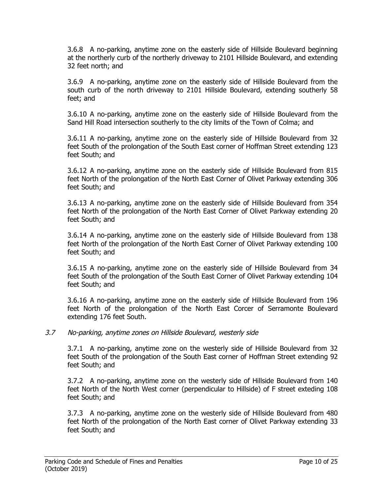3.6.8 A no-parking, anytime zone on the easterly side of Hillside Boulevard beginning at the northerly curb of the northerly driveway to 2101 Hillside Boulevard, and extending 32 feet north; and

3.6.9 A no-parking, anytime zone on the easterly side of Hillside Boulevard from the south curb of the north driveway to 2101 Hillside Boulevard, extending southerly 58 feet; and

3.6.10 A no-parking, anytime zone on the easterly side of Hillside Boulevard from the Sand Hill Road intersection southerly to the city limits of the Town of Colma; and

3.6.11 A no-parking, anytime zone on the easterly side of Hillside Boulevard from 32 feet South of the prolongation of the South East corner of Hoffman Street extending 123 feet South; and

3.6.12 A no-parking, anytime zone on the easterly side of Hillside Boulevard from 815 feet North of the prolongation of the North East Corner of Olivet Parkway extending 306 feet South; and

3.6.13 A no-parking, anytime zone on the easterly side of Hillside Boulevard from 354 feet North of the prolongation of the North East Corner of Olivet Parkway extending 20 feet South; and

3.6.14 A no-parking, anytime zone on the easterly side of Hillside Boulevard from 138 feet North of the prolongation of the North East Corner of Olivet Parkway extending 100 feet South; and

3.6.15 A no-parking, anytime zone on the easterly side of Hillside Boulevard from 34 feet South of the prolongation of the South East Corner of Olivet Parkway extending 104 feet South; and

3.6.16 A no-parking, anytime zone on the easterly side of Hillside Boulevard from 196 feet North of the prolongation of the North East Corcer of Serramonte Boulevard extending 176 feet South.

#### 3.7 No-parking, anytime zones on Hillside Boulevard, westerly side

3.7.1 A no-parking, anytime zone on the westerly side of Hillside Boulevard from 32 feet South of the prolongation of the South East corner of Hoffman Street extending 92 feet South; and

3.7.2 A no-parking, anytime zone on the westerly side of Hillside Boulevard from 140 feet North of the North West corner (perpendicular to Hillside) of F street exteding 108 feet South; and

3.7.3 A no-parking, anytime zone on the westerly side of Hillside Boulevard from 480 feet North of the prolongation of the North East corner of Olivet Parkway extending 33 feet South; and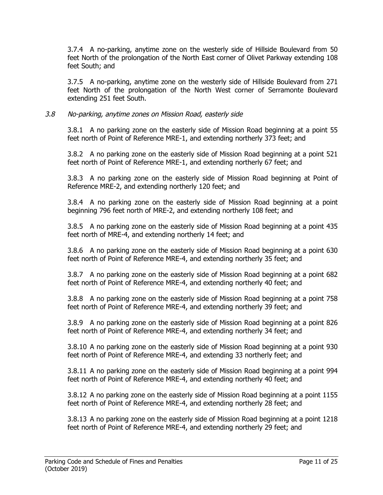3.7.4 A no-parking, anytime zone on the westerly side of Hillside Boulevard from 50 feet North of the prolongation of the North East corner of Olivet Parkway extending 108 feet South; and

3.7.5 A no-parking, anytime zone on the westerly side of Hillside Boulevard from 271 feet North of the prolongation of the North West corner of Serramonte Boulevard extending 251 feet South.

### 3.8 No-parking, anytime zones on Mission Road, easterly side

3.8.1 A no parking zone on the easterly side of Mission Road beginning at a point 55 feet north of Point of Reference MRE-1, and extending northerly 373 feet; and

3.8.2 A no parking zone on the easterly side of Mission Road beginning at a point 521 feet north of Point of Reference MRE-1, and extending northerly 67 feet; and

3.8.3 A no parking zone on the easterly side of Mission Road beginning at Point of Reference MRE-2, and extending northerly 120 feet; and

3.8.4 A no parking zone on the easterly side of Mission Road beginning at a point beginning 796 feet north of MRE-2, and extending northerly 108 feet; and

3.8.5 A no parking zone on the easterly side of Mission Road beginning at a point 435 feet north of MRE-4, and extending northerly 14 feet; and

3.8.6 A no parking zone on the easterly side of Mission Road beginning at a point 630 feet north of Point of Reference MRE-4, and extending northerly 35 feet; and

3.8.7 A no parking zone on the easterly side of Mission Road beginning at a point 682 feet north of Point of Reference MRE-4, and extending northerly 40 feet; and

3.8.8 A no parking zone on the easterly side of Mission Road beginning at a point 758 feet north of Point of Reference MRE-4, and extending northerly 39 feet; and

3.8.9 A no parking zone on the easterly side of Mission Road beginning at a point 826 feet north of Point of Reference MRE-4, and extending northerly 34 feet; and

3.8.10 A no parking zone on the easterly side of Mission Road beginning at a point 930 feet north of Point of Reference MRE-4, and extending 33 northerly feet; and

3.8.11 A no parking zone on the easterly side of Mission Road beginning at a point 994 feet north of Point of Reference MRE-4, and extending northerly 40 feet; and

3.8.12 A no parking zone on the easterly side of Mission Road beginning at a point 1155 feet north of Point of Reference MRE-4, and extending northerly 28 feet; and

3.8.13 A no parking zone on the easterly side of Mission Road beginning at a point 1218 feet north of Point of Reference MRE-4, and extending northerly 29 feet; and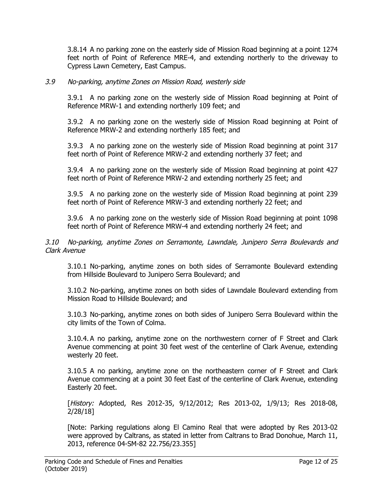3.8.14 A no parking zone on the easterly side of Mission Road beginning at a point 1274 feet north of Point of Reference MRE-4, and extending northerly to the driveway to Cypress Lawn Cemetery, East Campus.

### 3.9 No-parking, anytime Zones on Mission Road, westerly side

3.9.1 A no parking zone on the westerly side of Mission Road beginning at Point of Reference MRW-1 and extending northerly 109 feet; and

3.9.2 A no parking zone on the westerly side of Mission Road beginning at Point of Reference MRW-2 and extending northerly 185 feet; and

3.9.3 A no parking zone on the westerly side of Mission Road beginning at point 317 feet north of Point of Reference MRW-2 and extending northerly 37 feet; and

3.9.4 A no parking zone on the westerly side of Mission Road beginning at point 427 feet north of Point of Reference MRW-2 and extending northerly 25 feet; and

3.9.5 A no parking zone on the westerly side of Mission Road beginning at point 239 feet north of Point of Reference MRW-3 and extending northerly 22 feet; and

3.9.6 A no parking zone on the westerly side of Mission Road beginning at point 1098 feet north of Point of Reference MRW-4 and extending northerly 24 feet; and

3.10 No-parking, anytime Zones on Serramonte, Lawndale, Junipero Serra Boulevards and Clark Avenue

3.10.1 No-parking, anytime zones on both sides of Serramonte Boulevard extending from Hillside Boulevard to Junipero Serra Boulevard; and

3.10.2 No-parking, anytime zones on both sides of Lawndale Boulevard extending from Mission Road to Hillside Boulevard; and

3.10.3 No-parking, anytime zones on both sides of Junipero Serra Boulevard within the city limits of the Town of Colma.

3.10.4. A no parking, anytime zone on the northwestern corner of F Street and Clark Avenue commencing at point 30 feet west of the centerline of Clark Avenue, extending westerly 20 feet.

3.10.5 A no parking, anytime zone on the northeastern corner of F Street and Clark Avenue commencing at a point 30 feet East of the centerline of Clark Avenue, extending Easterly 20 feet.

[*History:* Adopted, Res 2012-35, 9/12/2012; Res 2013-02, 1/9/13; Res 2018-08, 2/28/18]

[Note: Parking regulations along El Camino Real that were adopted by Res 2013-02 were approved by Caltrans, as stated in letter from Caltrans to Brad Donohue, March 11, 2013, reference 04-SM-82 22.756/23.355]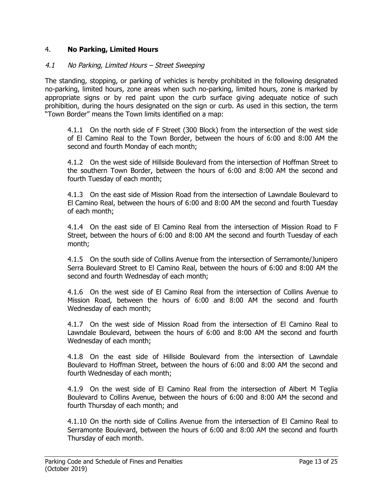## 4. **No Parking, Limited Hours**

#### 4.1 No Parking, Limited Hours – Street Sweeping

The standing, stopping, or parking of vehicles is hereby prohibited in the following designated no-parking, limited hours, zone areas when such no-parking, limited hours, zone is marked by appropriate signs or by red paint upon the curb surface giving adequate notice of such prohibition, during the hours designated on the sign or curb. As used in this section, the term "Town Border" means the Town limits identified on a map:

4.1.1 On the north side of F Street (300 Block) from the intersection of the west side of El Camino Real to the Town Border, between the hours of 6:00 and 8:00 AM the second and fourth Monday of each month;

4.1.2 On the west side of Hillside Boulevard from the intersection of Hoffman Street to the southern Town Border, between the hours of 6:00 and 8:00 AM the second and fourth Tuesday of each month;

4.1.3 On the east side of Mission Road from the intersection of Lawndale Boulevard to El Camino Real, between the hours of 6:00 and 8:00 AM the second and fourth Tuesday of each month;

4.1.4 On the east side of El Camino Real from the intersection of Mission Road to F Street, between the hours of 6:00 and 8:00 AM the second and fourth Tuesday of each month;

4.1.5 On the south side of Collins Avenue from the intersection of Serramonte/Junipero Serra Boulevard Street to El Camino Real, between the hours of 6:00 and 8:00 AM the second and fourth Wednesday of each month;

4.1.6 On the west side of El Camino Real from the intersection of Collins Avenue to Mission Road, between the hours of 6:00 and 8:00 AM the second and fourth Wednesday of each month;

4.1.7 On the west side of Mission Road from the intersection of El Camino Real to Lawndale Boulevard, between the hours of 6:00 and 8:00 AM the second and fourth Wednesday of each month;

4.1.8 On the east side of Hillside Boulevard from the intersection of Lawndale Boulevard to Hoffman Street, between the hours of 6:00 and 8:00 AM the second and fourth Wednesday of each month;

4.1.9 On the west side of El Camino Real from the intersection of Albert M Teglia Boulevard to Collins Avenue, between the hours of 6:00 and 8:00 AM the second and fourth Thursday of each month; and

4.1.10 On the north side of Collins Avenue from the intersection of El Camino Real to Serramonte Boulevard, between the hours of 6:00 and 8:00 AM the second and fourth Thursday of each month.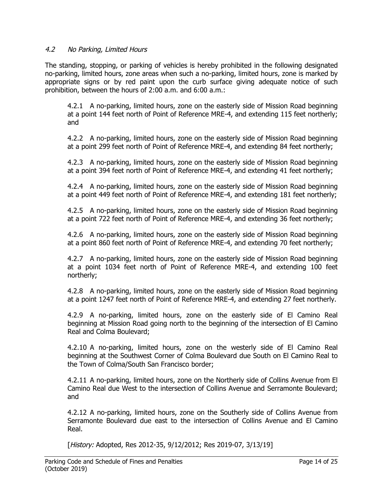## 4.2 No Parking, Limited Hours

The standing, stopping, or parking of vehicles is hereby prohibited in the following designated no-parking, limited hours, zone areas when such a no-parking, limited hours, zone is marked by appropriate signs or by red paint upon the curb surface giving adequate notice of such prohibition, between the hours of 2:00 a.m. and 6:00 a.m.:

4.2.1 A no-parking, limited hours, zone on the easterly side of Mission Road beginning at a point 144 feet north of Point of Reference MRE-4, and extending 115 feet northerly; and

4.2.2 A no-parking, limited hours, zone on the easterly side of Mission Road beginning at a point 299 feet north of Point of Reference MRE-4, and extending 84 feet northerly;

4.2.3 A no-parking, limited hours, zone on the easterly side of Mission Road beginning at a point 394 feet north of Point of Reference MRE-4, and extending 41 feet northerly;

4.2.4 A no-parking, limited hours, zone on the easterly side of Mission Road beginning at a point 449 feet north of Point of Reference MRE-4, and extending 181 feet northerly;

4.2.5 A no-parking, limited hours, zone on the easterly side of Mission Road beginning at a point 722 feet north of Point of Reference MRE-4, and extending 36 feet northerly;

4.2.6 A no-parking, limited hours, zone on the easterly side of Mission Road beginning at a point 860 feet north of Point of Reference MRE-4, and extending 70 feet northerly;

4.2.7 A no-parking, limited hours, zone on the easterly side of Mission Road beginning at a point 1034 feet north of Point of Reference MRE-4, and extending 100 feet northerly;

4.2.8 A no-parking, limited hours, zone on the easterly side of Mission Road beginning at a point 1247 feet north of Point of Reference MRE-4, and extending 27 feet northerly.

4.2.9 A no-parking, limited hours, zone on the easterly side of El Camino Real beginning at Mission Road going north to the beginning of the intersection of El Camino Real and Colma Boulevard;

4.2.10 A no-parking, limited hours, zone on the westerly side of El Camino Real beginning at the Southwest Corner of Colma Boulevard due South on El Camino Real to the Town of Colma/South San Francisco border;

4.2.11 A no-parking, limited hours, zone on the Northerly side of Collins Avenue from El Camino Real due West to the intersection of Collins Avenue and Serramonte Boulevard; and

4.2.12 A no-parking, limited hours, zone on the Southerly side of Collins Avenue from Serramonte Boulevard due east to the intersection of Collins Avenue and El Camino Real.

[History: Adopted, Res 2012-35, 9/12/2012; Res 2019-07, 3/13/19]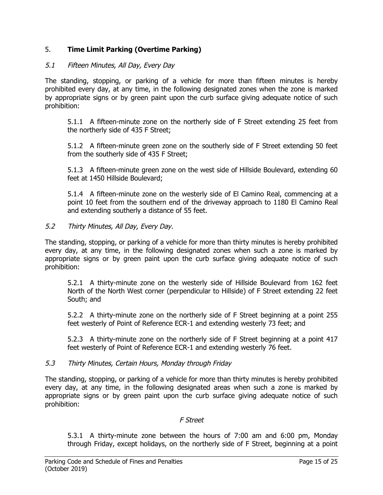# 5. **Time Limit Parking (Overtime Parking)**

## 5.1 Fifteen Minutes, All Day, Every Day

The standing, stopping, or parking of a vehicle for more than fifteen minutes is hereby prohibited every day, at any time, in the following designated zones when the zone is marked by appropriate signs or by green paint upon the curb surface giving adequate notice of such prohibition:

5.1.1 A fifteen-minute zone on the northerly side of F Street extending 25 feet from the northerly side of 435 F Street;

5.1.2 A fifteen-minute green zone on the southerly side of F Street extending 50 feet from the southerly side of 435 F Street;

5.1.3 A fifteen-minute green zone on the west side of Hillside Boulevard, extending 60 feet at 1450 Hillside Boulevard;

5.1.4 A fifteen-minute zone on the westerly side of El Camino Real, commencing at a point 10 feet from the southern end of the driveway approach to 1180 El Camino Real and extending southerly a distance of 55 feet.

### 5.2 Thirty Minutes, All Day, Every Day.

The standing, stopping, or parking of a vehicle for more than thirty minutes is hereby prohibited every day, at any time, in the following designated zones when such a zone is marked by appropriate signs or by green paint upon the curb surface giving adequate notice of such prohibition:

5.2.1 A thirty-minute zone on the westerly side of Hillside Boulevard from 162 feet North of the North West corner (perpendicular to Hillside) of F Street extending 22 feet South; and

5.2.2 A thirty-minute zone on the northerly side of F Street beginning at a point 255 feet westerly of Point of Reference ECR-1 and extending westerly 73 feet; and

5.2.3 A thirty-minute zone on the northerly side of F Street beginning at a point 417 feet westerly of Point of Reference ECR-1 and extending westerly 76 feet.

#### 5.3 Thirty Minutes, Certain Hours, Monday through Friday

The standing, stopping, or parking of a vehicle for more than thirty minutes is hereby prohibited every day, at any time, in the following designated areas when such a zone is marked by appropriate signs or by green paint upon the curb surface giving adequate notice of such prohibition:

#### F Street

5.3.1 A thirty-minute zone between the hours of 7:00 am and 6:00 pm, Monday through Friday, except holidays, on the northerly side of F Street, beginning at a point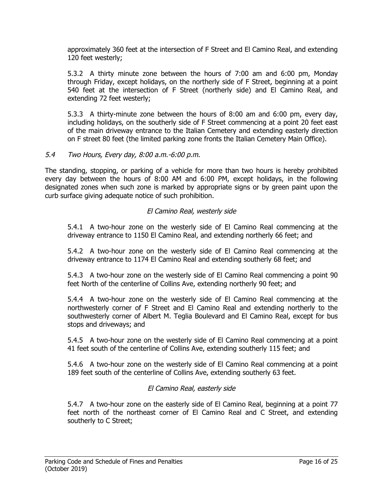approximately 360 feet at the intersection of F Street and El Camino Real, and extending 120 feet westerly;

5.3.2 A thirty minute zone between the hours of 7:00 am and 6:00 pm, Monday through Friday, except holidays, on the northerly side of F Street, beginning at a point 540 feet at the intersection of F Street (northerly side) and El Camino Real, and extending 72 feet westerly;

5.3.3 A thirty-minute zone between the hours of 8:00 am and 6:00 pm, every day, including holidays, on the southerly side of F Street commencing at a point 20 feet east of the main driveway entrance to the Italian Cemetery and extending easterly direction on F street 80 feet (the limited parking zone fronts the Italian Cemetery Main Office).

### 5.4 Two Hours, Every day, 8:00 a.m.-6:00 p.m.

The standing, stopping, or parking of a vehicle for more than two hours is hereby prohibited every day between the hours of 8:00 AM and 6:00 PM, except holidays, in the following designated zones when such zone is marked by appropriate signs or by green paint upon the curb surface giving adequate notice of such prohibition.

### El Camino Real, westerly side

5.4.1 A two-hour zone on the westerly side of El Camino Real commencing at the driveway entrance to 1150 El Camino Real, and extending northerly 66 feet; and

5.4.2 A two-hour zone on the westerly side of El Camino Real commencing at the driveway entrance to 1174 El Camino Real and extending southerly 68 feet; and

5.4.3 A two-hour zone on the westerly side of El Camino Real commencing a point 90 feet North of the centerline of Collins Ave, extending northerly 90 feet; and

5.4.4 A two-hour zone on the westerly side of El Camino Real commencing at the northwesterly corner of F Street and El Camino Real and extending northerly to the southwesterly corner of Albert M. Teglia Boulevard and El Camino Real, except for bus stops and driveways; and

5.4.5 A two-hour zone on the westerly side of El Camino Real commencing at a point 41 feet south of the centerline of Collins Ave, extending southerly 115 feet; and

5.4.6 A two-hour zone on the westerly side of El Camino Real commencing at a point 189 feet south of the centerline of Collins Ave, extending southerly 63 feet.

## El Camino Real, easterly side

5.4.7 A two-hour zone on the easterly side of El Camino Real, beginning at a point 77 feet north of the northeast corner of El Camino Real and C Street, and extending southerly to C Street;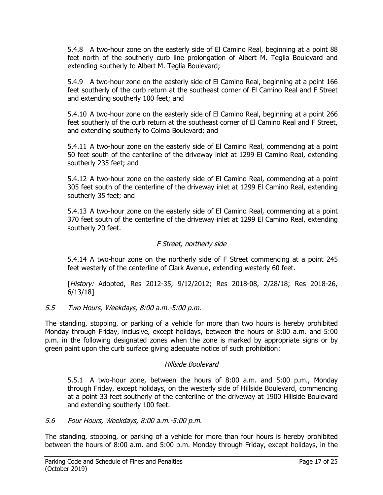5.4.8 A two-hour zone on the easterly side of El Camino Real, beginning at a point 88 feet north of the southerly curb line prolongation of Albert M. Teglia Boulevard and extending southerly to Albert M. Teglia Boulevard;

5.4.9 A two-hour zone on the easterly side of El Camino Real, beginning at a point 166 feet southerly of the curb return at the southeast corner of El Camino Real and F Street and extending southerly 100 feet; and

5.4.10 A two-hour zone on the easterly side of El Camino Real, beginning at a point 266 feet southerly of the curb return at the southeast corner of El Camino Real and F Street, and extending southerly to Colma Boulevard; and

5.4.11 A two-hour zone on the easterly side of El Camino Real, commencing at a point 50 feet south of the centerline of the driveway inlet at 1299 El Camino Real, extending southerly 235 feet; and

5.4.12 A two-hour zone on the easterly side of El Camino Real, commencing at a point 305 feet south of the centerline of the driveway inlet at 1299 El Camino Real, extending southerly 35 feet; and

5.4.13 A two-hour zone on the easterly side of El Camino Real, commencing at a point 370 feet south of the centerline of the driveway inlet at 1299 El Camino Real, extending southerly 20 feet.

# F Street, northerly side

5.4.14 A two-hour zone on the northerly side of F Street commencing at a point 245 feet westerly of the centerline of Clark Avenue, extending westerly 60 feet.

[History: Adopted, Res 2012-35, 9/12/2012; Res 2018-08, 2/28/18; Res 2018-26, 6/13/18]

## 5.5 Two Hours, Weekdays, 8:00 a.m.-5:00 p.m.

The standing, stopping, or parking of a vehicle for more than two hours is hereby prohibited Monday through Friday, inclusive, except holidays, between the hours of 8:00 a.m. and 5:00 p.m. in the following designated zones when the zone is marked by appropriate signs or by green paint upon the curb surface giving adequate notice of such prohibition:

## Hillside Boulevard

5.5.1 A two-hour zone, between the hours of 8:00 a.m. and 5:00 p.m., Monday through Friday, except holidays, on the westerly side of Hillside Boulevard, commencing at a point 33 feet southerly of the centerline of the driveway at 1900 Hillside Boulevard and extending southerly 100 feet.

# 5.6 Four Hours, Weekdays, 8:00 a.m.-5:00 p.m.

The standing, stopping, or parking of a vehicle for more than four hours is hereby prohibited between the hours of 8:00 a.m. and 5:00 p.m. Monday through Friday, except holidays, in the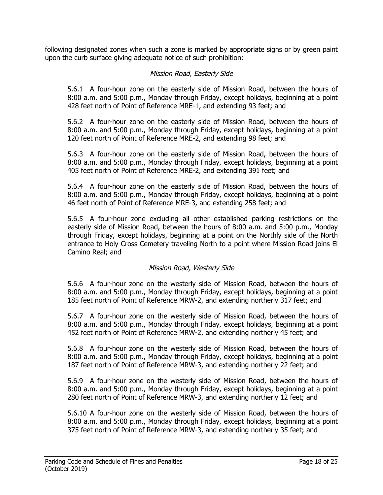following designated zones when such a zone is marked by appropriate signs or by green paint upon the curb surface giving adequate notice of such prohibition:

## Mission Road, Easterly Side

5.6.1 A four-hour zone on the easterly side of Mission Road, between the hours of 8:00 a.m. and 5:00 p.m., Monday through Friday, except holidays, beginning at a point 428 feet north of Point of Reference MRE-1, and extending 93 feet; and

5.6.2 A four-hour zone on the easterly side of Mission Road, between the hours of 8:00 a.m. and 5:00 p.m., Monday through Friday, except holidays, beginning at a point 120 feet north of Point of Reference MRE-2, and extending 98 feet; and

5.6.3 A four-hour zone on the easterly side of Mission Road, between the hours of 8:00 a.m. and 5:00 p.m., Monday through Friday, except holidays, beginning at a point 405 feet north of Point of Reference MRE-2, and extending 391 feet; and

5.6.4 A four-hour zone on the easterly side of Mission Road, between the hours of 8:00 a.m. and 5:00 p.m., Monday through Friday, except holidays, beginning at a point 46 feet north of Point of Reference MRE-3, and extending 258 feet; and

5.6.5 A four-hour zone excluding all other established parking restrictions on the easterly side of Mission Road, between the hours of 8:00 a.m. and 5:00 p.m., Monday through Friday, except holidays, beginning at a point on the Northly side of the North entrance to Holy Cross Cemetery traveling North to a point where Mission Road joins El Camino Real; and

## Mission Road, Westerly Side

5.6.6 A four-hour zone on the westerly side of Mission Road, between the hours of 8:00 a.m. and 5:00 p.m., Monday through Friday, except holidays, beginning at a point 185 feet north of Point of Reference MRW-2, and extending northerly 317 feet; and

5.6.7 A four-hour zone on the westerly side of Mission Road, between the hours of 8:00 a.m. and 5:00 p.m., Monday through Friday, except holidays, beginning at a point 452 feet north of Point of Reference MRW-2, and extending northerly 45 feet; and

5.6.8 A four-hour zone on the westerly side of Mission Road, between the hours of 8:00 a.m. and 5:00 p.m., Monday through Friday, except holidays, beginning at a point 187 feet north of Point of Reference MRW-3, and extending northerly 22 feet; and

5.6.9 A four-hour zone on the westerly side of Mission Road, between the hours of 8:00 a.m. and 5:00 p.m., Monday through Friday, except holidays, beginning at a point 280 feet north of Point of Reference MRW-3, and extending northerly 12 feet; and

5.6.10 A four-hour zone on the westerly side of Mission Road, between the hours of 8:00 a.m. and 5:00 p.m., Monday through Friday, except holidays, beginning at a point 375 feet north of Point of Reference MRW-3, and extending northerly 35 feet; and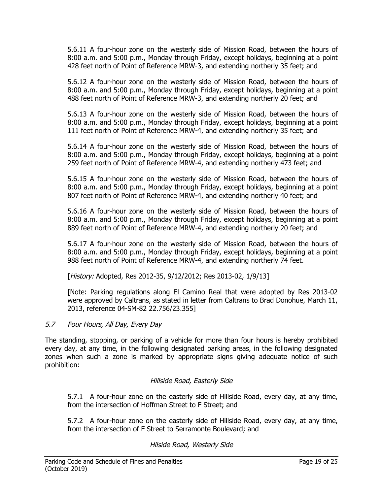5.6.11 A four-hour zone on the westerly side of Mission Road, between the hours of 8:00 a.m. and 5:00 p.m., Monday through Friday, except holidays, beginning at a point 428 feet north of Point of Reference MRW-3, and extending northerly 35 feet; and

5.6.12 A four-hour zone on the westerly side of Mission Road, between the hours of 8:00 a.m. and 5:00 p.m., Monday through Friday, except holidays, beginning at a point 488 feet north of Point of Reference MRW-3, and extending northerly 20 feet; and

5.6.13 A four-hour zone on the westerly side of Mission Road, between the hours of 8:00 a.m. and 5:00 p.m., Monday through Friday, except holidays, beginning at a point 111 feet north of Point of Reference MRW-4, and extending northerly 35 feet; and

5.6.14 A four-hour zone on the westerly side of Mission Road, between the hours of 8:00 a.m. and 5:00 p.m., Monday through Friday, except holidays, beginning at a point 259 feet north of Point of Reference MRW-4, and extending northerly 473 feet; and

5.6.15 A four-hour zone on the westerly side of Mission Road, between the hours of 8:00 a.m. and 5:00 p.m., Monday through Friday, except holidays, beginning at a point 807 feet north of Point of Reference MRW-4, and extending northerly 40 feet; and

5.6.16 A four-hour zone on the westerly side of Mission Road, between the hours of 8:00 a.m. and 5:00 p.m., Monday through Friday, except holidays, beginning at a point 889 feet north of Point of Reference MRW-4, and extending northerly 20 feet; and

5.6.17 A four-hour zone on the westerly side of Mission Road, between the hours of 8:00 a.m. and 5:00 p.m., Monday through Friday, except holidays, beginning at a point 988 feet north of Point of Reference MRW-4, and extending northerly 74 feet.

[History: Adopted, Res 2012-35, 9/12/2012; Res 2013-02, 1/9/13]

[Note: Parking regulations along El Camino Real that were adopted by Res 2013-02 were approved by Caltrans, as stated in letter from Caltrans to Brad Donohue, March 11, 2013, reference 04-SM-82 22.756/23.355]

# 5.7 Four Hours, All Day, Every Day

The standing, stopping, or parking of a vehicle for more than four hours is hereby prohibited every day, at any time, in the following designated parking areas, in the following designated zones when such a zone is marked by appropriate signs giving adequate notice of such prohibition:

## Hillside Road, Easterly Side

5.7.1 A four-hour zone on the easterly side of Hillside Road, every day, at any time, from the intersection of Hoffman Street to F Street; and

5.7.2 A four-hour zone on the easterly side of Hillside Road, every day, at any time, from the intersection of F Street to Serramonte Boulevard; and

## Hilside Road, Westerly Side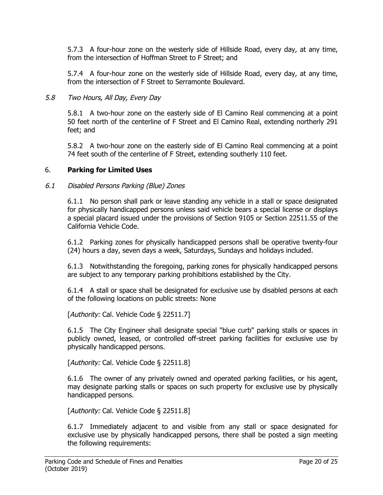5.7.3 A four-hour zone on the westerly side of Hillside Road, every day, at any time, from the intersection of Hoffman Street to F Street; and

5.7.4 A four-hour zone on the westerly side of Hillside Road, every day, at any time, from the intersection of F Street to Serramonte Boulevard.

### 5.8 Two Hours, All Day, Every Day

5.8.1 A two-hour zone on the easterly side of El Camino Real commencing at a point 50 feet north of the centerline of F Street and El Camino Real, extending northerly 291 feet; and

5.8.2 A two-hour zone on the easterly side of El Camino Real commencing at a point 74 feet south of the centerline of F Street, extending southerly 110 feet.

### 6. **Parking for Limited Uses**

#### 6.1 Disabled Persons Parking (Blue) Zones

6.1.1 No person shall park or leave standing any vehicle in a stall or space designated for physically handicapped persons unless said vehicle bears a special license or displays a special placard issued under the provisions of Section 9105 or Section 22511.55 of the California Vehicle Code.

6.1.2 Parking zones for physically handicapped persons shall be operative twenty-four (24) hours a day, seven days a week, Saturdays, Sundays and holidays included.

6.1.3 Notwithstanding the foregoing, parking zones for physically handicapped persons are subject to any temporary parking prohibitions established by the City.

6.1.4 A stall or space shall be designated for exclusive use by disabled persons at each of the following locations on public streets: None

[Authority: Cal. Vehicle Code § 22511.7]

6.1.5 The City Engineer shall designate special "blue curb" parking stalls or spaces in publicly owned, leased, or controlled off-street parking facilities for exclusive use by physically handicapped persons.

[Authority: Cal. Vehicle Code § 22511.8]

6.1.6 The owner of any privately owned and operated parking facilities, or his agent, may designate parking stalls or spaces on such property for exclusive use by physically handicapped persons.

[Authority: Cal. Vehicle Code § 22511.8]

6.1.7 Immediately adjacent to and visible from any stall or space designated for exclusive use by physically handicapped persons, there shall be posted a sign meeting the following requirements: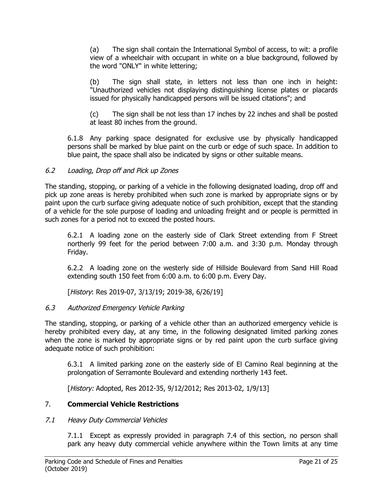(a) The sign shall contain the International Symbol of access, to wit: a profile view of a wheelchair with occupant in white on a blue background, followed by the word "ONLY" in white lettering;

(b) The sign shall state, in letters not less than one inch in height: "Unauthorized vehicles not displaying distinguishing license plates or placards issued for physically handicapped persons will be issued citations"; and

(c) The sign shall be not less than 17 inches by 22 inches and shall be posted at least 80 inches from the ground.

6.1.8 Any parking space designated for exclusive use by physically handicapped persons shall be marked by blue paint on the curb or edge of such space. In addition to blue paint, the space shall also be indicated by signs or other suitable means.

# 6.2 Loading, Drop off and Pick up Zones

The standing, stopping, or parking of a vehicle in the following designated loading, drop off and pick up zone areas is hereby prohibited when such zone is marked by appropriate signs or by paint upon the curb surface giving adequate notice of such prohibition, except that the standing of a vehicle for the sole purpose of loading and unloading freight and or people is permitted in such zones for a period not to exceed the posted hours.

6.2.1 A loading zone on the easterly side of Clark Street extending from F Street northerly 99 feet for the period between 7:00 a.m. and 3:30 p.m. Monday through Friday.

6.2.2 A loading zone on the westerly side of Hillside Boulevard from Sand Hill Road extending south 150 feet from 6:00 a.m. to 6:00 p.m. Every Day.

[History: Res 2019-07, 3/13/19; 2019-38, 6/26/19]

# 6.3 Authorized Emergency Vehicle Parking

The standing, stopping, or parking of a vehicle other than an authorized emergency vehicle is hereby prohibited every day, at any time, in the following designated limited parking zones when the zone is marked by appropriate signs or by red paint upon the curb surface giving adequate notice of such prohibition:

6.3.1 A limited parking zone on the easterly side of El Camino Real beginning at the prolongation of Serramonte Boulevard and extending northerly 143 feet.

[History: Adopted, Res 2012-35, 9/12/2012; Res 2013-02, 1/9/13]

## 7. **Commercial Vehicle Restrictions**

## 7.1 Heavy Duty Commercial Vehicles

7.1.1 Except as expressly provided in paragraph 7.4 of this section, no person shall park any heavy duty commercial vehicle anywhere within the Town limits at any time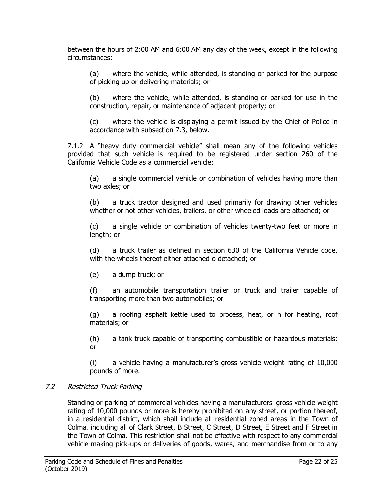between the hours of 2:00 AM and 6:00 AM any day of the week, except in the following circumstances:

(a) where the vehicle, while attended, is standing or parked for the purpose of picking up or delivering materials; or

(b) where the vehicle, while attended, is standing or parked for use in the construction, repair, or maintenance of adjacent property; or

(c) where the vehicle is displaying a permit issued by the Chief of Police in accordance with subsection 7.3, below.

7.1.2 A "heavy duty commercial vehicle" shall mean any of the following vehicles provided that such vehicle is required to be registered under section 260 of the California Vehicle Code as a commercial vehicle:

(a) a single commercial vehicle or combination of vehicles having more than two axles; or

(b) a truck tractor designed and used primarily for drawing other vehicles whether or not other vehicles, trailers, or other wheeled loads are attached; or

(c) a single vehicle or combination of vehicles twenty-two feet or more in length; or

(d) a truck trailer as defined in section 630 of the California Vehicle code, with the wheels thereof either attached o detached; or

(e) a dump truck; or

(f) an automobile transportation trailer or truck and trailer capable of transporting more than two automobiles; or

(g) a roofing asphalt kettle used to process, heat, or h for heating, roof materials; or

(h) a tank truck capable of transporting combustible or hazardous materials; or

(i) a vehicle having a manufacturer's gross vehicle weight rating of 10,000 pounds of more.

## 7.2 Restricted Truck Parking

Standing or parking of commercial vehicles having a manufacturers' gross vehicle weight rating of 10,000 pounds or more is hereby prohibited on any street, or portion thereof, in a residential district, which shall include all residential zoned areas in the Town of Colma, including all of Clark Street, B Street, C Street, D Street, E Street and F Street in the Town of Colma. This restriction shall not be effective with respect to any commercial vehicle making pick-ups or deliveries of goods, wares, and merchandise from or to any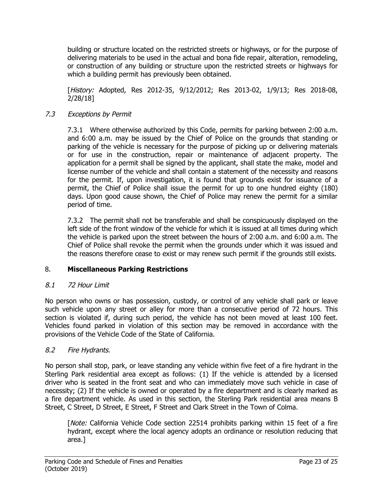building or structure located on the restricted streets or highways, or for the purpose of delivering materials to be used in the actual and bona fide repair, alteration, remodeling, or construction of any building or structure upon the restricted streets or highways for which a building permit has previously been obtained.

[History: Adopted, Res 2012-35, 9/12/2012; Res 2013-02, 1/9/13; Res 2018-08, 2/28/18]

# 7.3 Exceptions by Permit

7.3.1 Where otherwise authorized by this Code, permits for parking between 2:00 a.m. and 6:00 a.m. may be issued by the Chief of Police on the grounds that standing or parking of the vehicle is necessary for the purpose of picking up or delivering materials or for use in the construction, repair or maintenance of adjacent property. The application for a permit shall be signed by the applicant, shall state the make, model and license number of the vehicle and shall contain a statement of the necessity and reasons for the permit. If, upon investigation, it is found that grounds exist for issuance of a permit, the Chief of Police shall issue the permit for up to one hundred eighty (180) days. Upon good cause shown, the Chief of Police may renew the permit for a similar period of time.

7.3.2 The permit shall not be transferable and shall be conspicuously displayed on the left side of the front window of the vehicle for which it is issued at all times during which the vehicle is parked upon the street between the hours of 2:00 a.m. and 6:00 a.m. The Chief of Police shall revoke the permit when the grounds under which it was issued and the reasons therefore cease to exist or may renew such permit if the grounds still exists.

# 8. **Miscellaneous Parking Restrictions**

# 8.1 72 Hour Limit

No person who owns or has possession, custody, or control of any vehicle shall park or leave such vehicle upon any street or alley for more than a consecutive period of 72 hours. This section is violated if, during such period, the vehicle has not been moved at least 100 feet. Vehicles found parked in violation of this section may be removed in accordance with the provisions of the Vehicle Code of the State of California.

# 8.2 Fire Hydrants.

No person shall stop, park, or leave standing any vehicle within five feet of a fire hydrant in the Sterling Park residential area except as follows: (1) If the vehicle is attended by a licensed driver who is seated in the front seat and who can immediately move such vehicle in case of necessity; (2) If the vehicle is owned or operated by a fire department and is clearly marked as a fire department vehicle. As used in this section, the Sterling Park residential area means B Street, C Street, D Street, E Street, F Street and Clark Street in the Town of Colma.

[*Note:* California Vehicle Code section 22514 prohibits parking within 15 feet of a fire hydrant, except where the local agency adopts an ordinance or resolution reducing that area.]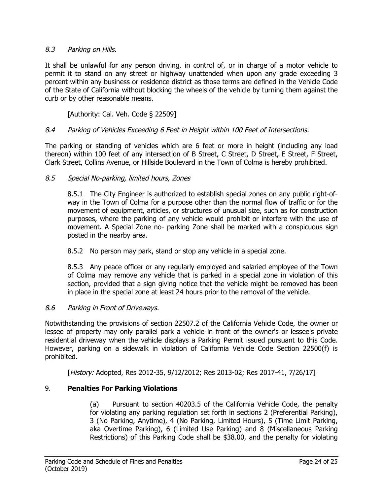## 8.3 Parking on Hills.

It shall be unlawful for any person driving, in control of, or in charge of a motor vehicle to permit it to stand on any street or highway unattended when upon any grade exceeding 3 percent within any business or residence district as those terms are defined in the Vehicle Code of the State of California without blocking the wheels of the vehicle by turning them against the curb or by other reasonable means.

[Authority: Cal. Veh. Code § 22509]

### 8.4 Parking of Vehicles Exceeding 6 Feet in Height within 100 Feet of Intersections.

The parking or standing of vehicles which are 6 feet or more in height (including any load thereon) within 100 feet of any intersection of B Street, C Street, D Street, E Street, F Street, Clark Street, Collins Avenue, or Hillside Boulevard in the Town of Colma is hereby prohibited.

### 8.5 Special No-parking, limited hours, Zones

8.5.1 The City Engineer is authorized to establish special zones on any public right-ofway in the Town of Colma for a purpose other than the normal flow of traffic or for the movement of equipment, articles, or structures of unusual size, such as for construction purposes, where the parking of any vehicle would prohibit or interfere with the use of movement. A Special Zone no- parking Zone shall be marked with a conspicuous sign posted in the nearby area.

8.5.2 No person may park, stand or stop any vehicle in a special zone.

8.5.3 Any peace officer or any regularly employed and salaried employee of the Town of Colma may remove any vehicle that is parked in a special zone in violation of this section, provided that a sign giving notice that the vehicle might be removed has been in place in the special zone at least 24 hours prior to the removal of the vehicle.

## 8.6 Parking in Front of Driveways.

Notwithstanding the provisions of section 22507.2 of the California Vehicle Code, the owner or lessee of property may only parallel park a vehicle in front of the owner's or lessee's private residential driveway when the vehicle displays a Parking Permit issued pursuant to this Code. However, parking on a sidewalk in violation of California Vehicle Code Section 22500(f) is prohibited.

[History: Adopted, Res 2012-35, 9/12/2012; Res 2013-02; Res 2017-41, 7/26/17]

## 9. **Penalties For Parking Violations**

(a) Pursuant to section 40203.5 of the California Vehicle Code, the penalty for violating any parking regulation set forth in sections 2 (Preferential Parking), 3 (No Parking, Anytime), 4 (No Parking, Limited Hours), 5 (Time Limit Parking, aka Overtime Parking), 6 (Limited Use Parking) and 8 (Miscellaneous Parking Restrictions) of this Parking Code shall be \$38.00, and the penalty for violating